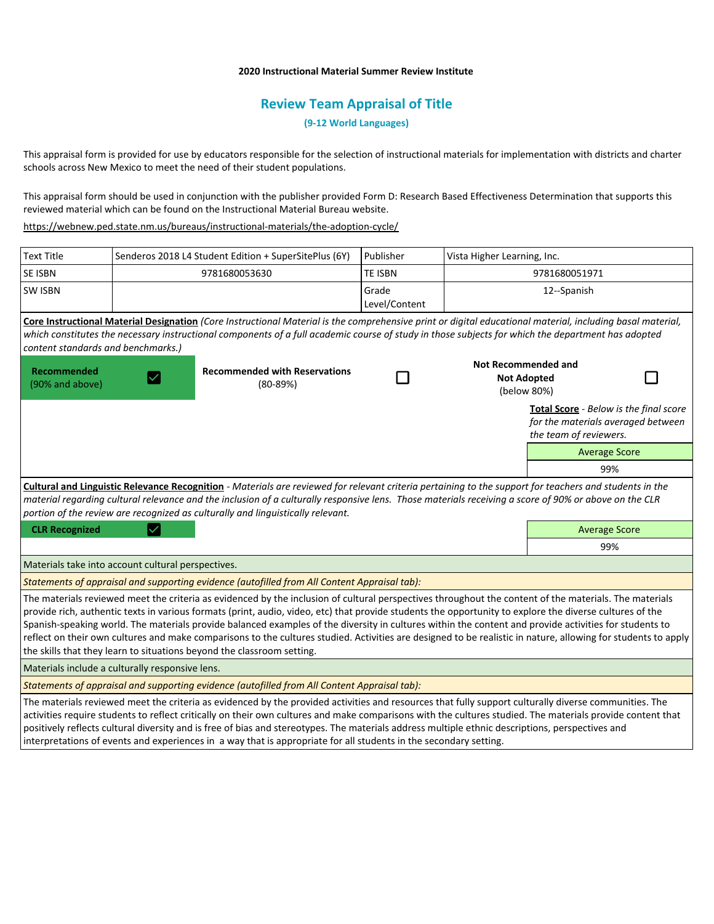## **2020 Instructional Material Summer Review Institute**

# **Review Team Appraisal of Title**

**(9-12 World Languages)**

This appraisal form is provided for use by educators responsible for the selection of instructional materials for implementation with districts and charter schools across New Mexico to meet the need of their student populations.

This appraisal form should be used in conjunction with the publisher provided Form D: Research Based Effectiveness Determination that supports this reviewed material which can be found on the Instructional Material Bureau website.

<https://webnew.ped.state.nm.us/bureaus/instructional-materials/the-adoption-cycle/>

| <b>Text Title</b>                                                                                                                                                                                                                                                                                                                                                                                   |                                                    | Senderos 2018 L4 Student Edition + SuperSitePlus (6Y)                                                                                                                                                                                                                                                                                                                                                                                                                                                                                                                                                                                                                                                                   | Publisher                                                       | Vista Higher Learning, Inc. |                                                                                                        |  |
|-----------------------------------------------------------------------------------------------------------------------------------------------------------------------------------------------------------------------------------------------------------------------------------------------------------------------------------------------------------------------------------------------------|----------------------------------------------------|-------------------------------------------------------------------------------------------------------------------------------------------------------------------------------------------------------------------------------------------------------------------------------------------------------------------------------------------------------------------------------------------------------------------------------------------------------------------------------------------------------------------------------------------------------------------------------------------------------------------------------------------------------------------------------------------------------------------------|-----------------------------------------------------------------|-----------------------------|--------------------------------------------------------------------------------------------------------|--|
| <b>SE ISBN</b>                                                                                                                                                                                                                                                                                                                                                                                      |                                                    | 9781680053630                                                                                                                                                                                                                                                                                                                                                                                                                                                                                                                                                                                                                                                                                                           | <b>TE ISBN</b>                                                  | 9781680051971               |                                                                                                        |  |
| <b>SW ISBN</b>                                                                                                                                                                                                                                                                                                                                                                                      |                                                    |                                                                                                                                                                                                                                                                                                                                                                                                                                                                                                                                                                                                                                                                                                                         | Grade<br>Level/Content                                          | 12--Spanish                 |                                                                                                        |  |
| content standards and benchmarks.)                                                                                                                                                                                                                                                                                                                                                                  |                                                    | Core Instructional Material Designation (Core Instructional Material is the comprehensive print or digital educational material, including basal material,<br>which constitutes the necessary instructional components of a full academic course of study in those subjects for which the department has adopted                                                                                                                                                                                                                                                                                                                                                                                                        |                                                                 |                             |                                                                                                        |  |
| Recommended<br>(90% and above)                                                                                                                                                                                                                                                                                                                                                                      | <b>Recommended with Reservations</b><br>$(80-89%)$ |                                                                                                                                                                                                                                                                                                                                                                                                                                                                                                                                                                                                                                                                                                                         | <b>Not Recommended and</b><br><b>Not Adopted</b><br>(below 80%) |                             |                                                                                                        |  |
|                                                                                                                                                                                                                                                                                                                                                                                                     |                                                    |                                                                                                                                                                                                                                                                                                                                                                                                                                                                                                                                                                                                                                                                                                                         |                                                                 |                             | Total Score - Below is the final score<br>for the materials averaged between<br>the team of reviewers. |  |
|                                                                                                                                                                                                                                                                                                                                                                                                     |                                                    |                                                                                                                                                                                                                                                                                                                                                                                                                                                                                                                                                                                                                                                                                                                         |                                                                 |                             | <b>Average Score</b>                                                                                   |  |
|                                                                                                                                                                                                                                                                                                                                                                                                     |                                                    |                                                                                                                                                                                                                                                                                                                                                                                                                                                                                                                                                                                                                                                                                                                         |                                                                 |                             | 99%                                                                                                    |  |
| Cultural and Linguistic Relevance Recognition - Materials are reviewed for relevant criteria pertaining to the support for teachers and students in the<br>material regarding cultural relevance and the inclusion of a culturally responsive lens. Those materials receiving a score of 90% or above on the CLR<br>portion of the review are recognized as culturally and linguistically relevant. |                                                    |                                                                                                                                                                                                                                                                                                                                                                                                                                                                                                                                                                                                                                                                                                                         |                                                                 |                             |                                                                                                        |  |
| <b>CLR Recognized</b>                                                                                                                                                                                                                                                                                                                                                                               |                                                    |                                                                                                                                                                                                                                                                                                                                                                                                                                                                                                                                                                                                                                                                                                                         |                                                                 |                             | <b>Average Score</b>                                                                                   |  |
|                                                                                                                                                                                                                                                                                                                                                                                                     |                                                    |                                                                                                                                                                                                                                                                                                                                                                                                                                                                                                                                                                                                                                                                                                                         |                                                                 |                             | 99%                                                                                                    |  |
| Materials take into account cultural perspectives.                                                                                                                                                                                                                                                                                                                                                  |                                                    |                                                                                                                                                                                                                                                                                                                                                                                                                                                                                                                                                                                                                                                                                                                         |                                                                 |                             |                                                                                                        |  |
| Statements of appraisal and supporting evidence (autofilled from All Content Appraisal tab):                                                                                                                                                                                                                                                                                                        |                                                    |                                                                                                                                                                                                                                                                                                                                                                                                                                                                                                                                                                                                                                                                                                                         |                                                                 |                             |                                                                                                        |  |
|                                                                                                                                                                                                                                                                                                                                                                                                     |                                                    | The materials reviewed meet the criteria as evidenced by the inclusion of cultural perspectives throughout the content of the materials. The materials<br>provide rich, authentic texts in various formats (print, audio, video, etc) that provide students the opportunity to explore the diverse cultures of the<br>Spanish-speaking world. The materials provide balanced examples of the diversity in cultures within the content and provide activities for students to<br>reflect on their own cultures and make comparisons to the cultures studied. Activities are designed to be realistic in nature, allowing for students to apply<br>the skills that they learn to situations beyond the classroom setting. |                                                                 |                             |                                                                                                        |  |
| Materials include a culturally responsive lens.                                                                                                                                                                                                                                                                                                                                                     |                                                    |                                                                                                                                                                                                                                                                                                                                                                                                                                                                                                                                                                                                                                                                                                                         |                                                                 |                             |                                                                                                        |  |
|                                                                                                                                                                                                                                                                                                                                                                                                     |                                                    | Statements of appraisal and supporting evidence (autofilled from All Content Appraisal tab):                                                                                                                                                                                                                                                                                                                                                                                                                                                                                                                                                                                                                            |                                                                 |                             |                                                                                                        |  |
|                                                                                                                                                                                                                                                                                                                                                                                                     |                                                    | The materials reviewed meet the criteria as evidenced by the provided activities and resources that fully support culturally diverse communities. The<br>activities require students to reflect critically on their own cultures and make comparisons with the cultures studied. The materials provide content that<br>positively reflects cultural diversity and is free of bias and stereotypes. The materials address multiple ethnic descriptions, perspectives and                                                                                                                                                                                                                                                 |                                                                 |                             |                                                                                                        |  |

interpretations of events and experiences in a way that is appropriate for all students in the secondary setting.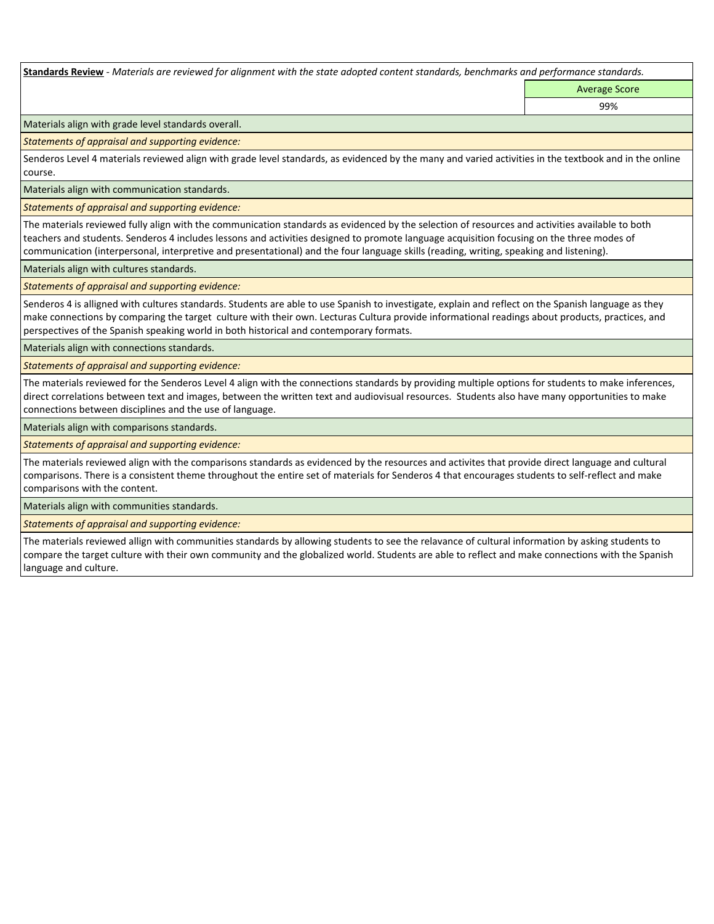**Standards Review** *- Materials are reviewed for alignment with the state adopted content standards, benchmarks and performance standards.*

Average Score 99%

Materials align with grade level standards overall.

*Statements of appraisal and supporting evidence:* 

Senderos Level 4 materials reviewed align with grade level standards, as evidenced by the many and varied activities in the textbook and in the online course.

Materials align with communication standards.

*Statements of appraisal and supporting evidence:* 

The materials reviewed fully align with the communication standards as evidenced by the selection of resources and activities available to both teachers and students. Senderos 4 includes lessons and activities designed to promote language acquisition focusing on the three modes of communication (interpersonal, interpretive and presentational) and the four language skills (reading, writing, speaking and listening).

Materials align with cultures standards.

*Statements of appraisal and supporting evidence:* 

Senderos 4 is alligned with cultures standards. Students are able to use Spanish to investigate, explain and reflect on the Spanish language as they make connections by comparing the target culture with their own. Lecturas Cultura provide informational readings about products, practices, and perspectives of the Spanish speaking world in both historical and contemporary formats.

Materials align with connections standards.

*Statements of appraisal and supporting evidence:* 

The materials reviewed for the Senderos Level 4 align with the connections standards by providing multiple options for students to make inferences, direct correlations between text and images, between the written text and audiovisual resources. Students also have many opportunities to make connections between disciplines and the use of language.

Materials align with comparisons standards.

*Statements of appraisal and supporting evidence:* 

The materials reviewed align with the comparisons standards as evidenced by the resources and activites that provide direct language and cultural comparisons. There is a consistent theme throughout the entire set of materials for Senderos 4 that encourages students to self-reflect and make comparisons with the content.

Materials align with communities standards.

*Statements of appraisal and supporting evidence:* 

The materials reviewed allign with communities standards by allowing students to see the relavance of cultural information by asking students to compare the target culture with their own community and the globalized world. Students are able to reflect and make connections with the Spanish language and culture.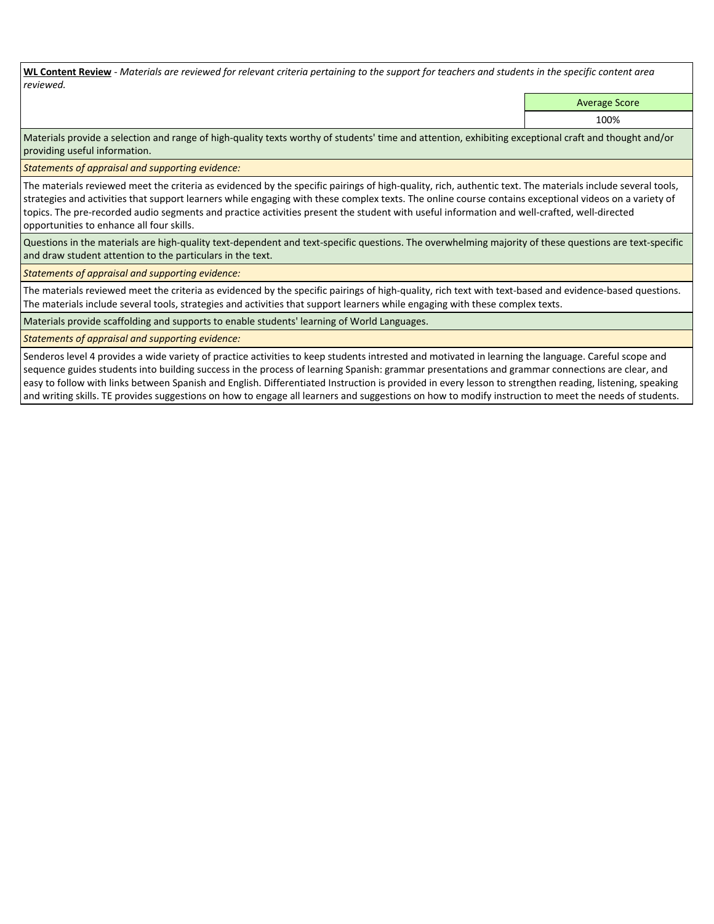**WL Content Review** *- Materials are reviewed for relevant criteria pertaining to the support for teachers and students in the specific content area reviewed.*

Average Score

100%

Materials provide a selection and range of high-quality texts worthy of students' time and attention, exhibiting exceptional craft and thought and/or providing useful information.

*Statements of appraisal and supporting evidence:* 

The materials reviewed meet the criteria as evidenced by the specific pairings of high-quality, rich, authentic text. The materials include several tools, strategies and activities that support learners while engaging with these complex texts. The online course contains exceptional videos on a variety of topics. The pre-recorded audio segments and practice activities present the student with useful information and well-crafted, well-directed opportunities to enhance all four skills.

Questions in the materials are high-quality text-dependent and text-specific questions. The overwhelming majority of these questions are text-specific and draw student attention to the particulars in the text.

*Statements of appraisal and supporting evidence:* 

The materials reviewed meet the criteria as evidenced by the specific pairings of high-quality, rich text with text-based and evidence-based questions. The materials include several tools, strategies and activities that support learners while engaging with these complex texts.

Materials provide scaffolding and supports to enable students' learning of World Languages.

*Statements of appraisal and supporting evidence:* 

Senderos level 4 provides a wide variety of practice activities to keep students intrested and motivated in learning the language. Careful scope and sequence guides students into building success in the process of learning Spanish: grammar presentations and grammar connections are clear, and easy to follow with links between Spanish and English. Differentiated Instruction is provided in every lesson to strengthen reading, listening, speaking and writing skills. TE provides suggestions on how to engage all learners and suggestions on how to modify instruction to meet the needs of students.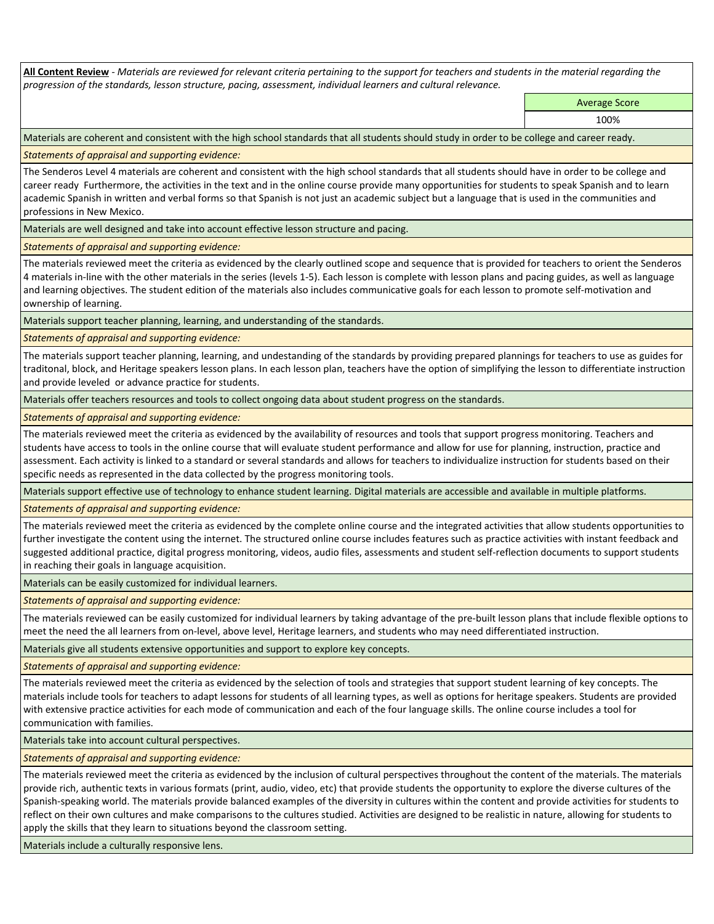**All Content Review** *- Materials are reviewed for relevant criteria pertaining to the support for teachers and students in the material regarding the progression of the standards, lesson structure, pacing, assessment, individual learners and cultural relevance.*

Average Score

100%

Materials are coherent and consistent with the high school standards that all students should study in order to be college and career ready.

*Statements of appraisal and supporting evidence:*

The Senderos Level 4 materials are coherent and consistent with the high school standards that all students should have in order to be college and career ready Furthermore, the activities in the text and in the online course provide many opportunities for students to speak Spanish and to learn academic Spanish in written and verbal forms so that Spanish is not just an academic subject but a language that is used in the communities and professions in New Mexico.

Materials are well designed and take into account effective lesson structure and pacing.

*Statements of appraisal and supporting evidence:*

The materials reviewed meet the criteria as evidenced by the clearly outlined scope and sequence that is provided for teachers to orient the Senderos 4 materials in-line with the other materials in the series (levels 1-5). Each lesson is complete with lesson plans and pacing guides, as well as language and learning objectives. The student edition of the materials also includes communicative goals for each lesson to promote self-motivation and ownership of learning.

Materials support teacher planning, learning, and understanding of the standards.

*Statements of appraisal and supporting evidence:*

The materials support teacher planning, learning, and undestanding of the standards by providing prepared plannings for teachers to use as guides for traditonal, block, and Heritage speakers lesson plans. In each lesson plan, teachers have the option of simplifying the lesson to differentiate instruction and provide leveled or advance practice for students.

Materials offer teachers resources and tools to collect ongoing data about student progress on the standards.

*Statements of appraisal and supporting evidence:*

The materials reviewed meet the criteria as evidenced by the availability of resources and tools that support progress monitoring. Teachers and students have access to tools in the online course that will evaluate student performance and allow for use for planning, instruction, practice and assessment. Each activity is linked to a standard or several standards and allows for teachers to individualize instruction for students based on their specific needs as represented in the data collected by the progress monitoring tools.

Materials support effective use of technology to enhance student learning. Digital materials are accessible and available in multiple platforms.

*Statements of appraisal and supporting evidence:*

The materials reviewed meet the criteria as evidenced by the complete online course and the integrated activities that allow students opportunities to further investigate the content using the internet. The structured online course includes features such as practice activities with instant feedback and suggested additional practice, digital progress monitoring, videos, audio files, assessments and student self-reflection documents to support students in reaching their goals in language acquisition.

Materials can be easily customized for individual learners.

*Statements of appraisal and supporting evidence:* 

The materials reviewed can be easily customized for individual learners by taking advantage of the pre-built lesson plans that include flexible options to meet the need the all learners from on-level, above level, Heritage learners, and students who may need differentiated instruction.

Materials give all students extensive opportunities and support to explore key concepts.

*Statements of appraisal and supporting evidence:*

The materials reviewed meet the criteria as evidenced by the selection of tools and strategies that support student learning of key concepts. The materials include tools for teachers to adapt lessons for students of all learning types, as well as options for heritage speakers. Students are provided with extensive practice activities for each mode of communication and each of the four language skills. The online course includes a tool for communication with families.

Materials take into account cultural perspectives.

*Statements of appraisal and supporting evidence:*

The materials reviewed meet the criteria as evidenced by the inclusion of cultural perspectives throughout the content of the materials. The materials provide rich, authentic texts in various formats (print, audio, video, etc) that provide students the opportunity to explore the diverse cultures of the Spanish-speaking world. The materials provide balanced examples of the diversity in cultures within the content and provide activities for students to reflect on their own cultures and make comparisons to the cultures studied. Activities are designed to be realistic in nature, allowing for students to apply the skills that they learn to situations beyond the classroom setting.

Materials include a culturally responsive lens.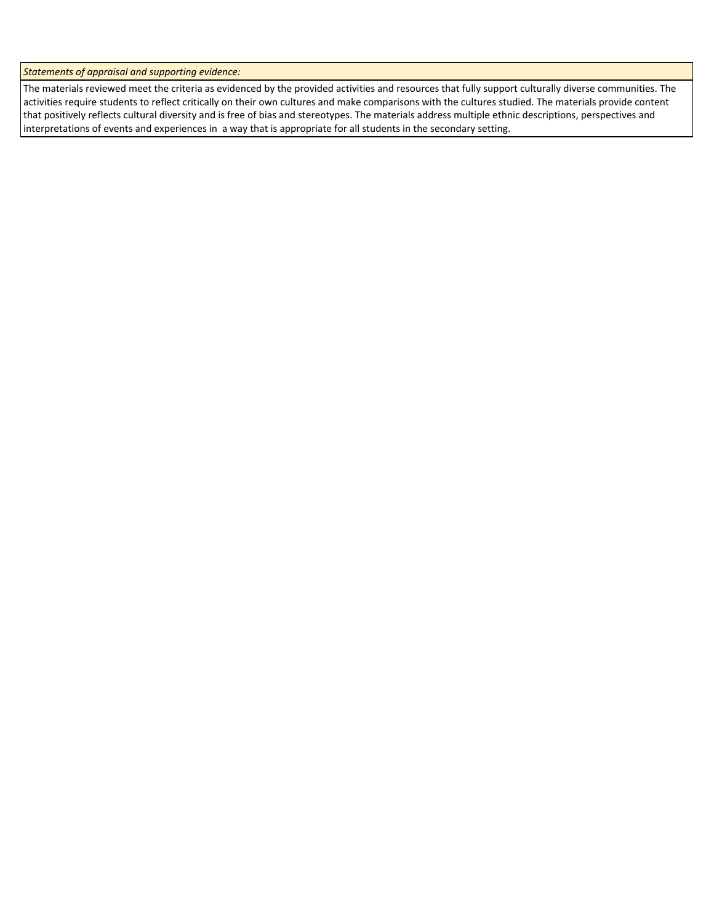*Statements of appraisal and supporting evidence:*

The materials reviewed meet the criteria as evidenced by the provided activities and resources that fully support culturally diverse communities. The activities require students to reflect critically on their own cultures and make comparisons with the cultures studied. The materials provide content that positively reflects cultural diversity and is free of bias and stereotypes. The materials address multiple ethnic descriptions, perspectives and interpretations of events and experiences in a way that is appropriate for all students in the secondary setting.